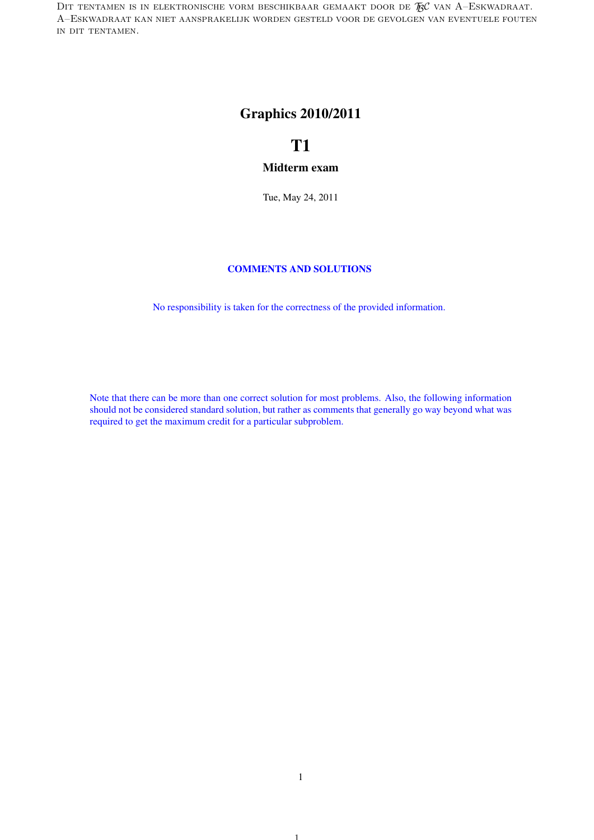DIT TENTAMEN IS IN ELEKTRONISCHE VORM BESCHIKBAAR GEMAAKT DOOR DE  $\mathcal{R}$ C van A–Eskwadraat. A–Eskwadraat kan niet aansprakelijk worden gesteld voor de gevolgen van eventuele fouten in dit tentamen.

## Graphics 2010/2011

# T1

### Midterm exam

Tue, May 24, 2011

### COMMENTS AND SOLUTIONS

No responsibility is taken for the correctness of the provided information.

Note that there can be more than one correct solution for most problems. Also, the following information should not be considered standard solution, but rather as comments that generally go way beyond what was required to get the maximum credit for a particular subproblem.

1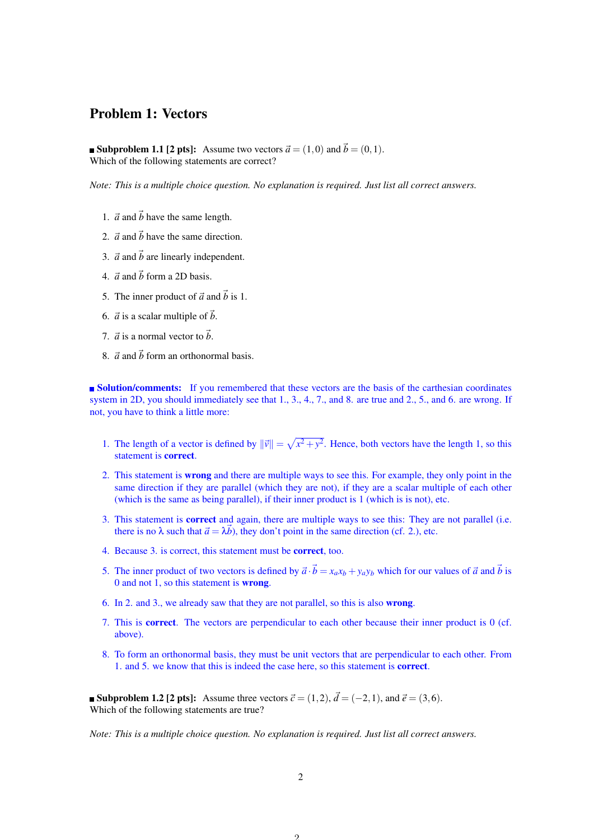## Problem 1: Vectors

**Subproblem 1.1 [2 pts]:** Assume two vectors  $\vec{a} = (1,0)$  and  $\vec{b} = (0,1)$ . Which of the following statements are correct?

*Note: This is a multiple choice question. No explanation is required. Just list all correct answers.*

- 1.  $\vec{a}$  and  $\vec{b}$  have the same length.
- 2.  $\vec{a}$  and  $\vec{b}$  have the same direction.
- 3.  $\vec{a}$  and  $\vec{b}$  are linearly independent.
- 4.  $\vec{a}$  and  $\vec{b}$  form a 2D basis.
- 5. The inner product of  $\vec{a}$  and  $\vec{b}$  is 1.
- 6.  $\vec{a}$  is a scalar multiple of  $\vec{b}$ .
- 7.  $\vec{a}$  is a normal vector to  $\vec{b}$ .
- 8.  $\vec{a}$  and  $\vec{b}$  form an orthonormal basis.

**Solution/comments:** If you remembered that these vectors are the basis of the carthesian coordinates system in 2D, you should immediately see that 1, 3, 4, 7, and 8, are true and 2, 5, and 6, are wrong. If not, you have to think a little more:

- 1. The length of a vector is defined by  $\|\vec{v}\| = \sqrt{x^2 + y^2}$ . Hence, both vectors have the length 1, so this statement is correct.
- 2. This statement is wrong and there are multiple ways to see this. For example, they only point in the same direction if they are parallel (which they are not), if they are a scalar multiple of each other (which is the same as being parallel), if their inner product is 1 (which is is not), etc.
- 3. This statement is correct and again, there are multiple ways to see this: They are not parallel (i.e. there is no  $\lambda$  such that  $\vec{a} = \lambda \vec{b}$ ), they don't point in the same direction (cf. 2.), etc.
- 4. Because 3. is correct, this statement must be correct, too.
- 5. The inner product of two vectors is defined by  $\vec{a} \cdot \vec{b} = x_a x_b + y_a y_b$  which for our values of  $\vec{a}$  and  $\vec{b}$  is 0 and not 1, so this statement is wrong.
- 6. In 2. and 3., we already saw that they are not parallel, so this is also wrong.
- 7. This is correct. The vectors are perpendicular to each other because their inner product is 0 (cf. above).
- 8. To form an orthonormal basis, they must be unit vectors that are perpendicular to each other. From 1. and 5. we know that this is indeed the case here, so this statement is correct.

■ **Subproblem 1.2 [2 pts]:** Assume three vectors  $\vec{c} = (1,2), \vec{d} = (-2,1)$ , and  $\vec{e} = (3,6)$ . Which of the following statements are true?

*Note: This is a multiple choice question. No explanation is required. Just list all correct answers.*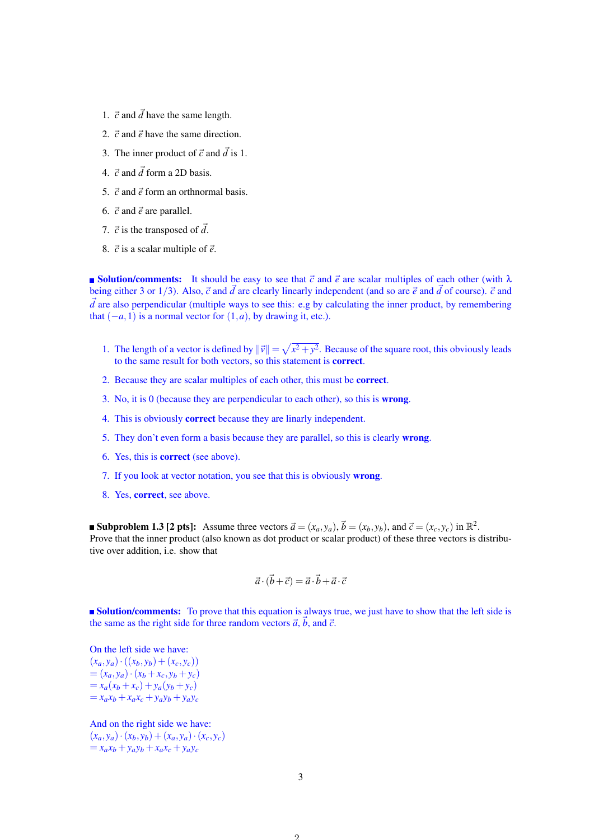- 1.  $\vec{c}$  and  $\vec{d}$  have the same length.
- 2.  $\vec{c}$  and  $\vec{e}$  have the same direction.
- 3. The inner product of  $\vec{c}$  and  $\vec{d}$  is 1.
- 4.  $\vec{c}$  and  $\vec{d}$  form a 2D basis.
- 5.  $\vec{c}$  and  $\vec{e}$  form an orthnormal basis.
- 6.  $\vec{c}$  and  $\vec{e}$  are parallel.
- 7.  $\vec{c}$  is the transposed of  $\vec{d}$ .
- 8.  $\vec{c}$  is a scalar multiple of  $\vec{e}$ .

**Solution/comments:** It should be easy to see that  $\vec{c}$  and  $\vec{e}$  are scalar multiples of each other (with  $\lambda$ being either 3 or 1/3). Also,  $\vec{c}$  and  $\vec{d}$  are clearly linearly independent (and so are  $\vec{e}$  and  $\vec{d}$  of course).  $\vec{c}$  and  $\vec{d}$  are also perpendicular (multiple ways to see this: e.g by calculating the inner product, by remembering that  $(-a, 1)$  is a normal vector for  $(1, a)$ , by drawing it, etc.).

- 1. The length of a vector is defined by  $\|\vec{v}\| = \sqrt{x^2 + y^2}$ . Because of the square root, this obviously leads to the same result for both vectors, so this statement is correct.
- 2. Because they are scalar multiples of each other, this must be correct.
- 3. No, it is 0 (because they are perpendicular to each other), so this is wrong.
- 4. This is obviously correct because they are linarly independent.
- 5. They don't even form a basis because they are parallel, so this is clearly wrong.
- 6. Yes, this is correct (see above).
- 7. If you look at vector notation, you see that this is obviously wrong.
- 8. Yes, correct, see above.

**Subproblem 1.3 [2 pts]:** Assume three vectors  $\vec{a} = (x_a, y_a)$ ,  $\vec{b} = (x_b, y_b)$ , and  $\vec{c} = (x_c, y_c)$  in  $\mathbb{R}^2$ . Prove that the inner product (also known as dot product or scalar product) of these three vectors is distributive over addition, i.e. show that

$$
\vec{a} \cdot (\vec{b} + \vec{c}) = \vec{a} \cdot \vec{b} + \vec{a} \cdot \vec{c}
$$

**Solution/comments:** To prove that this equation is always true, we just have to show that the left side is the same as the right side for three random vectors  $\vec{a}$ ,  $\vec{b}$ , and  $\vec{c}$ .

On the left side we have:  $(x_a, y_a) \cdot ((x_b, y_b) + (x_c, y_c))$  $=(x_a, y_a) \cdot (x_b + x_c, y_b + y_c)$  $= x_a(x_b + x_c) + y_a(y_b + y_c)$  $=x_a x_b + x_a x_c + y_a y_b + y_a y_c$ 

And on the right side we have:  $(x_a, y_a) \cdot (x_b, y_b) + (x_a, y_a) \cdot (x_c, y_c)$  $=x_a x_b + y_a y_b + x_a x_c + y_a y_c$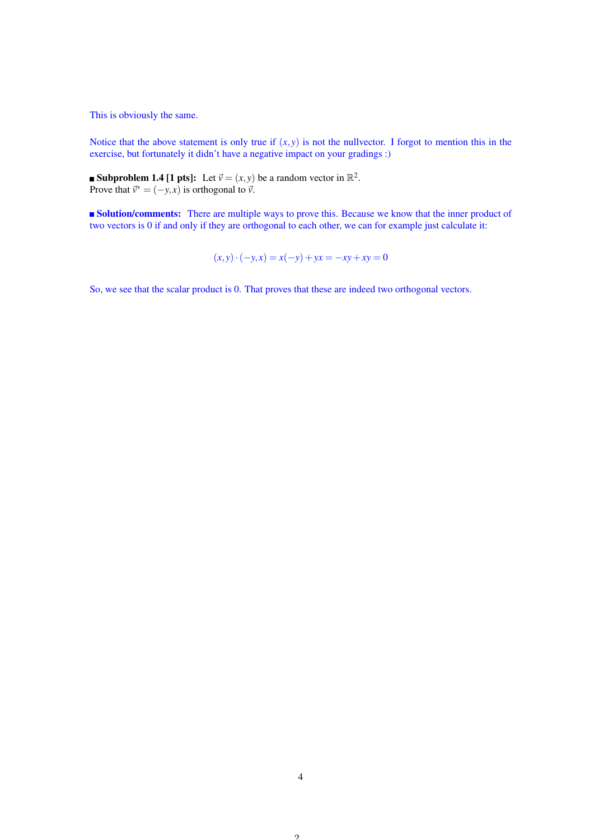This is obviously the same.

Notice that the above statement is only true if  $(x, y)$  is not the nullvector. I forgot to mention this in the exercise, but fortunately it didn't have a negative impact on your gradings :)

**Subproblem 1.4 [1 pts]:** Let  $\vec{v} = (x, y)$  be a random vector in  $\mathbb{R}^2$ . Prove that  $\vec{v}^* = (-y, x)$  is orthogonal to  $\vec{v}$ .

**Solution/comments:** There are multiple ways to prove this. Because we know that the inner product of two vectors is 0 if and only if they are orthogonal to each other, we can for example just calculate it:

$$
(x, y) \cdot (-y, x) = x(-y) + yx = -xy + xy = 0
$$

So, we see that the scalar product is 0. That proves that these are indeed two orthogonal vectors.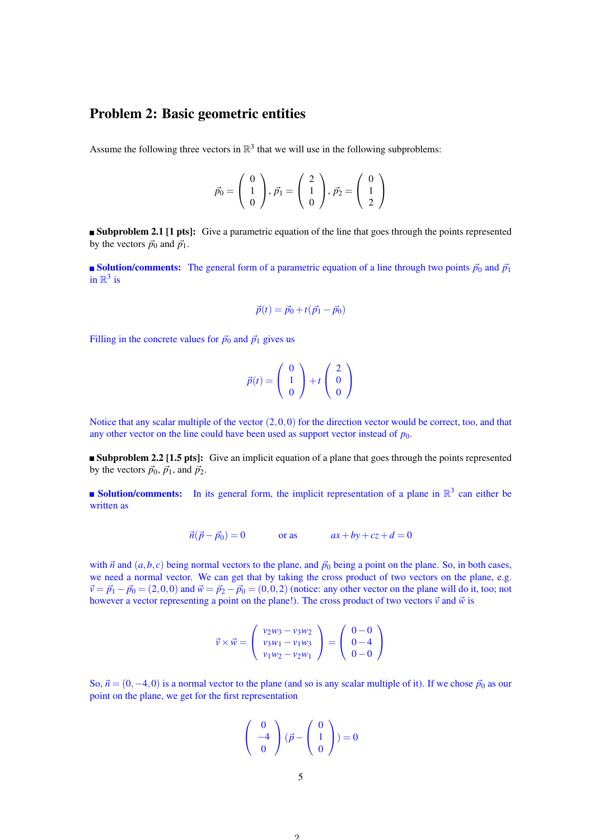## Problem 2: Basic geometric entities

Assume the following three vectors in  $\mathbb{R}^3$  that we will use in the following subproblems:

$$
\vec{p}_0 = \left(\begin{array}{c} 0\\1\\0 \end{array}\right), \vec{p}_1 = \left(\begin{array}{c} 2\\1\\0 \end{array}\right), \vec{p}_2 = \left(\begin{array}{c} 0\\1\\2 \end{array}\right)
$$

**Subproblem 2.1 [1 pts]:** Give a parametric equation of the line that goes through the points represented by the vectors  $\vec{p}_0$  and  $\vec{p}_1$ .

Solution/comments: The general form of a parametric equation of a line through two points  $\vec{p}_0$  and  $\vec{p}_1$ in  $\mathbb{R}^3$  is

$$
\vec{p}(t) = \vec{p}_0 + t(\vec{p}_1 - \vec{p}_0)
$$

Filling in the concrete values for  $\vec{p}_0$  and  $\vec{p}_1$  gives us

$$
\vec{p}(t) = \left(\begin{array}{c} 0\\1\\0 \end{array}\right) + t \left(\begin{array}{c} 2\\0\\0 \end{array}\right)
$$

Notice that any scalar multiple of the vector  $(2,0,0)$  for the direction vector would be correct, too, and that any other vector on the line could have been used as support vector instead of  $p_0$ .

**Subproblem 2.2 [1.5 pts]:** Give an implicit equation of a plane that goes through the points represented by the vectors  $\vec{p}_0$ ,  $\vec{p}_1$ , and  $\vec{p}_2$ .

**Solution/comments:** In its general form, the implicit representation of a plane in  $\mathbb{R}^3$  can either be written as

$$
\vec{n}(\vec{p} - \vec{p}_0) = 0 \qquad \text{or as} \qquad ax + by + cz + d = 0
$$

with  $\vec{n}$  and  $(a, b, c)$  being normal vectors to the plane, and  $\vec{p}_0$  being a point on the plane. So, in both cases, we need a normal vector. We can get that by taking the cross product of two vectors on the plane, e.g.  $\vec{v} = \vec{p}_1 - \vec{p}_0 = (2,0,0)$  and  $\vec{w} = \vec{p}_2 - \vec{p}_0 = (0,0,2)$  (notice: any other vector on the plane will do it, too; not however a vector representing a point on the plane!). The cross product of two vectors  $\vec{v}$  and  $\vec{w}$  is

$$
\vec{v} \times \vec{w} = \begin{pmatrix} v_2w_3 - v_3w_2 \\ v_3w_1 - v_1w_3 \\ v_1w_2 - v_2w_1 \end{pmatrix} = \begin{pmatrix} 0 & -0 \\ 0 & -4 \\ 0 & -0 \end{pmatrix}
$$

So,  $\vec{n} = (0, -4, 0)$  is a normal vector to the plane (and so is any scalar multiple of it). If we chose  $\vec{p}_0$  as our point on the plane, we get for the first representation

$$
\left(\begin{array}{c}0\\-4\\0\end{array}\right)(\vec{p} - \left(\begin{array}{c}0\\1\\0\end{array}\right)) = 0
$$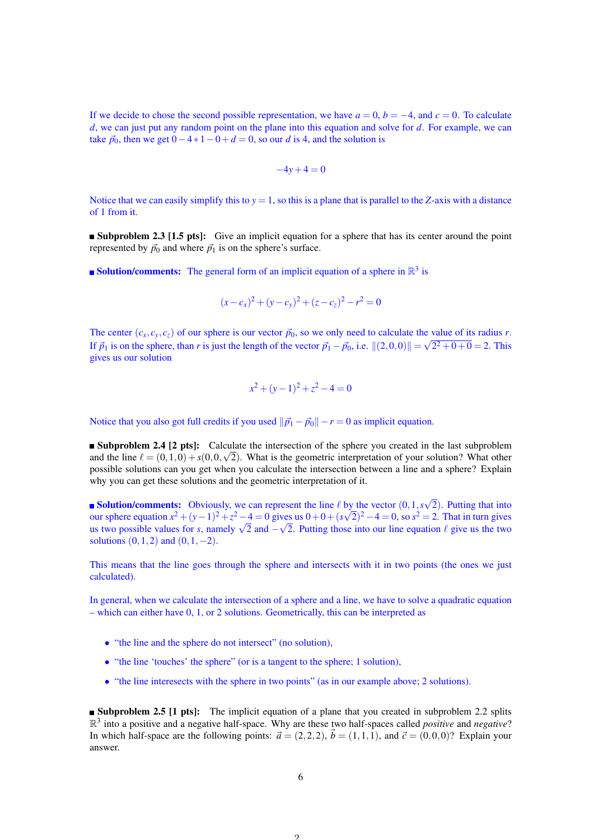If we decide to chose the second possible representation, we have  $a = 0$ ,  $b = -4$ , and  $c = 0$ . To calculate *d*, we can just put any random point on the plane into this equation and solve for *d*. For example, we can take  $\vec{p}_0$ , then we get  $0-4*1-0+d=0$ , so our *d* is 4, and the solution is

$$
-4y+4=0
$$

Notice that we can easily simplify this to  $y = 1$ , so this is a plane that is parallel to the *Z*-axis with a distance of 1 from it.

**Subproblem 2.3 [1.5 pts]:** Give an implicit equation for a sphere that has its center around the point represented by  $\vec{p}_0$  and where  $\vec{p}_1$  is on the sphere's surface.

**Solution/comments:** The general form of an implicit equation of a sphere in  $\mathbb{R}^3$  is

$$
(x-c_x)^2 + (y-c_y)^2 + (z-c_z)^2 - r^2 = 0
$$

The center  $(c_x, c_y, c_z)$  of our sphere is our vector  $\vec{p}_0$ , so we only need to calculate the value of its radius *r*. If  $\vec{p}_1$  is on the sphere, than *r* is just the length of the vector  $\vec{p}_1 - \vec{p}_0$ , i.e.  $||(2,0,0)|| = \sqrt{2^2 + 0 + 0} = 2$ . This gives us our solution

$$
x^2 + (y - 1)^2 + z^2 - 4 = 0
$$

Notice that you also got full credits if you used  $\|\vec{p}_1 - \vec{p}_0\| - r = 0$  as implicit equation.

Subproblem 2.4 [2 pts]: Calculate the intersection of the sphere you created in the last subproblem and the line  $\ell = (0,1,0) + s(0,0,\sqrt{2})$ . What is the geometric interpretation of your solution? What other possible solutions can you get when you calculate the intersection between a line and a sphere? Explain why you can get these solutions and the geometric interpretation of it.

**Solution/comments:** Obviously, we can represent the line  $\ell$  by the vector  $(0,1,s)$ √ by the vector  $(0, 1, s\sqrt{2})$ . Putting that into our sphere equation  $x^2 + (y-1)^2 + z^2 - 4 = 0$  gives us  $0 + 0 + (s\sqrt{2})^2 - 4 = 0$ , so  $s^2 = 2$ . That in turn gives our sphere equation  $x^2 + (y - 1)^2 + z^2 - 4 = 0$  gives us  $0 + 0 + (s\sqrt{2})^2 - 4 = 0$ , so  $s^2 = 2$ . That in turn gives us the two possible values for *s*, namely  $\sqrt{2}$  and  $-\sqrt{2}$ . Putting those into our line equation  $\ell$  give u solutions  $(0,1,2)$  and  $(0,1,-2)$ .

This means that the line goes through the sphere and intersects with it in two points (the ones we just calculated).

In general, when we calculate the intersection of a sphere and a line, we have to solve a quadratic equation – which can either have 0, 1, or 2 solutions. Geometrically, this can be interpreted as

- "the line and the sphere do not intersect" (no solution),
- "the line 'touches' the sphere" (or is a tangent to the sphere: 1 solution).
- "the line interesects with the sphere in two points" (as in our example above; 2 solutions).

**Subproblem 2.5 [1 pts]:** The implicit equation of a plane that you created in subproblem 2.2 splits R 3 into a positive and a negative half-space. Why are these two half-spaces called *positive* and *negative*? In which half-space are the following points:  $\vec{a} = (2,2,2), \vec{b} = (1,1,1),$  and  $\vec{c} = (0,0,0)$ ? Explain your answer.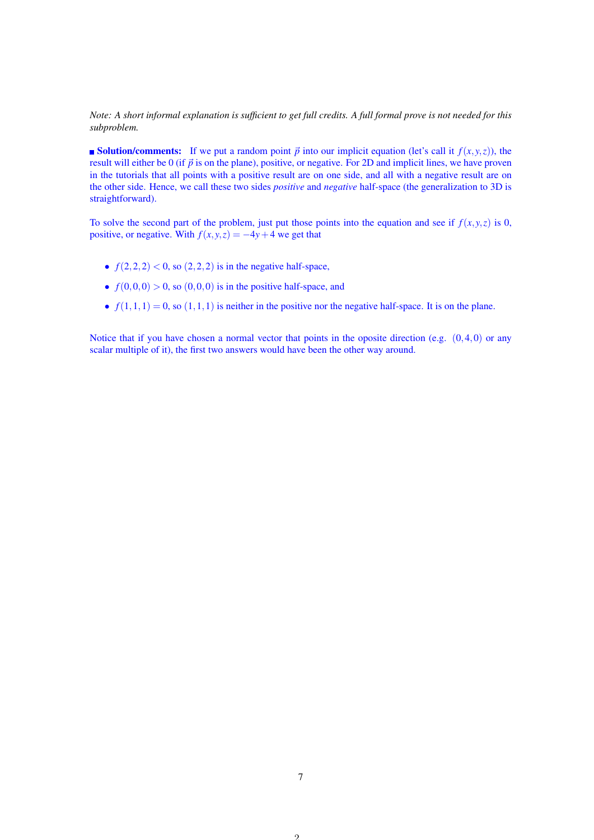*Note: A short informal explanation is sufficient to get full credits. A full formal prove is not needed for this subproblem.*

**Solution/comments:** If we put a random point  $\vec{p}$  into our implicit equation (let's call it  $f(x, y, z)$ ), the result will either be 0 (if  $\vec{p}$  is on the plane), positive, or negative. For 2D and implicit lines, we have proven in the tutorials that all points with a positive result are on one side, and all with a negative result are on the other side. Hence, we call these two sides *positive* and *negative* half-space (the generalization to 3D is straightforward).

To solve the second part of the problem, just put those points into the equation and see if  $f(x, y, z)$  is 0, positive, or negative. With  $f(x, y, z) = -4y + 4$  we get that

- $f(2,2,2) < 0$ , so  $(2,2,2)$  is in the negative half-space,
- $f(0,0,0) > 0$ , so  $(0,0,0)$  is in the positive half-space, and
- $f(1,1,1) = 0$ , so  $(1,1,1)$  is neither in the positive nor the negative half-space. It is on the plane.

Notice that if you have chosen a normal vector that points in the oposite direction (e.g.  $(0,4,0)$ ) or any scalar multiple of it), the first two answers would have been the other way around.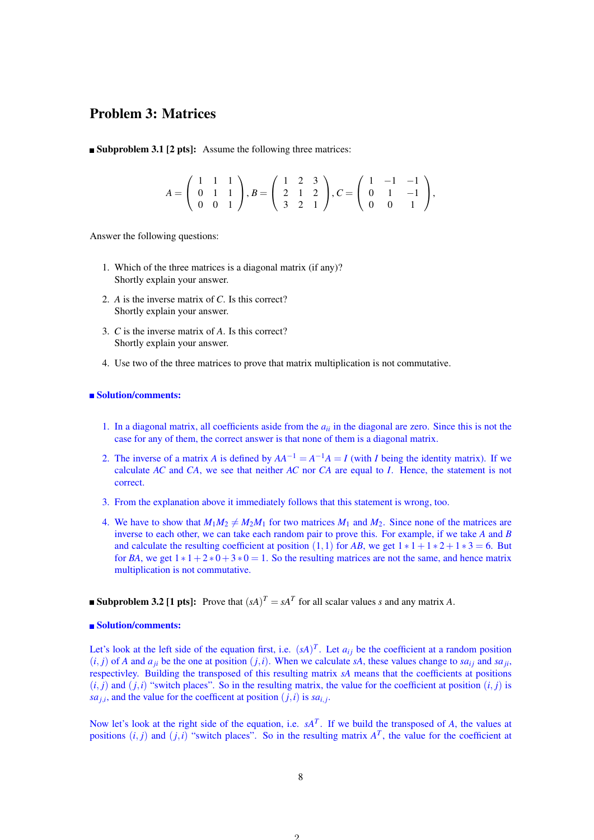## Problem 3: Matrices

■ Subproblem 3.1 [2 pts]: Assume the following three matrices:

$$
A = \left(\begin{array}{rrr} 1 & 1 & 1 \\ 0 & 1 & 1 \\ 0 & 0 & 1 \end{array}\right), B = \left(\begin{array}{rrr} 1 & 2 & 3 \\ 2 & 1 & 2 \\ 3 & 2 & 1 \end{array}\right), C = \left(\begin{array}{rrr} 1 & -1 & -1 \\ 0 & 1 & -1 \\ 0 & 0 & 1 \end{array}\right),
$$

Answer the following questions:

- 1. Which of the three matrices is a diagonal matrix (if any)? Shortly explain your answer.
- 2. *A* is the inverse matrix of *C*. Is this correct? Shortly explain your answer.
- 3. *C* is the inverse matrix of *A*. Is this correct? Shortly explain your answer.
- 4. Use two of the three matrices to prove that matrix multiplication is not commutative.

#### ■ Solution/comments:

- 1. In a diagonal matrix, all coefficients aside from the *aii* in the diagonal are zero. Since this is not the case for any of them, the correct answer is that none of them is a diagonal matrix.
- 2. The inverse of a matrix *A* is defined by  $AA^{-1} = A^{-1}A = I$  (with *I* being the identity matrix). If we calculate *AC* and *CA*, we see that neither *AC* nor *CA* are equal to *I*. Hence, the statement is not correct.
- 3. From the explanation above it immediately follows that this statement is wrong, too.
- 4. We have to show that  $M_1M_2 \neq M_2M_1$  for two matrices  $M_1$  and  $M_2$ . Since none of the matrices are inverse to each other, we can take each random pair to prove this. For example, if we take *A* and *B* and calculate the resulting coefficient at position (1,1) for *AB*, we get  $1 * 1 + 1 * 2 + 1 * 3 = 6$ . But for *BA*, we get  $1 * 1 + 2 * 0 + 3 * 0 = 1$ . So the resulting matrices are not the same, and hence matrix multiplication is not commutative.

### **Subproblem 3.2 [1 pts]:** Prove that  $(sA)^T = sA^T$  for all scalar values *s* and any matrix *A*.

#### ■ Solution/comments:

Let's look at the left side of the equation first, i.e.  $(sA)^T$ . Let  $a_{ij}$  be the coefficient at a random position  $(i, j)$  of *A* and  $a_{ji}$  be the one at position  $(j, i)$ . When we calculate *sA*, these values change to *sa*<sub>*i*</sub> and *sa*<sub>*ji*</sub>, respectivley. Building the transposed of this resulting matrix *sA* means that the coefficients at positions  $(i, j)$  and  $(j, i)$  "switch places". So in the resulting matrix, the value for the coefficient at position  $(i, j)$  is sa<sub>*j*,*i*</sub>, and the value for the coefficent at position  $(j, i)$  is sa<sub>*i*, *j*</sub>.

Now let's look at the right side of the equation, i.e.  $sA<sup>T</sup>$ . If we build the transposed of *A*, the values at positions  $(i, j)$  and  $(j, i)$  "switch places". So in the resulting matrix  $A<sup>T</sup>$ , the value for the coefficient at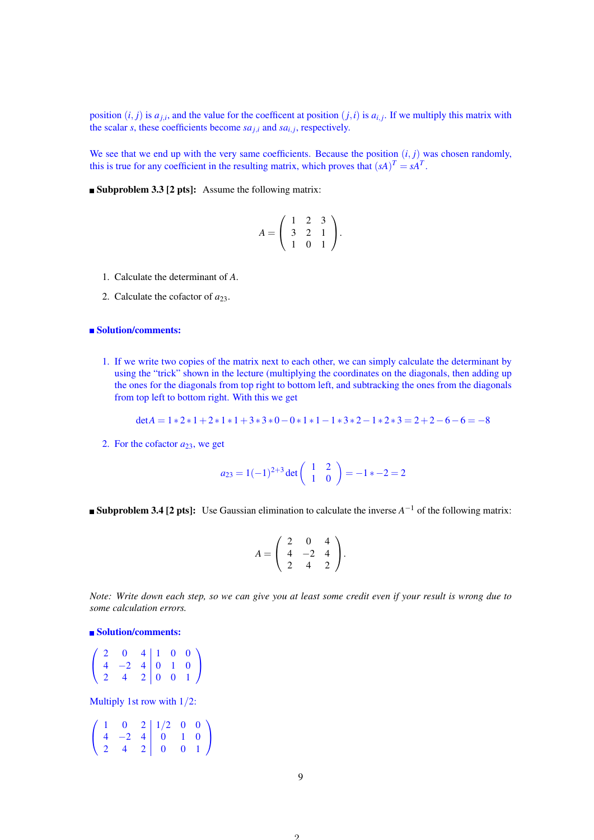position  $(i, j)$  is  $a_{j,i}$ , and the value for the coefficent at position  $(j,i)$  is  $a_{i,j}$ . If we multiply this matrix with the scalar *s*, these coefficients become  $sa_{j,i}$  and  $sa_{i,j}$ , respectively.

We see that we end up with the very same coefficients. Because the position  $(i, j)$  was chosen randomly, this is true for any coefficient in the resulting matrix, which proves that  $(sA)^T = sA^T$ .

**Subproblem 3.3 [2 pts]:** Assume the following matrix:

$$
A = \left(\begin{array}{rrr} 1 & 2 & 3 \\ 3 & 2 & 1 \\ 1 & 0 & 1 \end{array}\right).
$$

- 1. Calculate the determinant of *A*.
- 2. Calculate the cofactor of *a*23.

#### ■ Solution/comments:

1. If we write two copies of the matrix next to each other, we can simply calculate the determinant by using the "trick" shown in the lecture (multiplying the coordinates on the diagonals, then adding up the ones for the diagonals from top right to bottom left, and subtracking the ones from the diagonals from top left to bottom right. With this we get

$$
det A = 1 * 2 * 1 + 2 * 1 * 1 + 3 * 3 * 0 - 0 * 1 * 1 - 1 * 3 * 2 - 1 * 2 * 3 = 2 + 2 - 6 - 6 = -8
$$

2. For the cofactor  $a_{23}$ , we get

$$
a_{23} = 1(-1)^{2+3} \det \begin{pmatrix} 1 & 2 \\ 1 & 0 \end{pmatrix} = -1 \cdot 2 = 2
$$

**Subproblem 3.4 [2 pts]:** Use Gaussian elimination to calculate the inverse  $A^{-1}$  of the following matrix:

$$
A = \left(\begin{array}{rrr} 2 & 0 & 4 \\ 4 & -2 & 4 \\ 2 & 4 & 2 \end{array}\right).
$$

*Note: Write down each step, so we can give you at least some credit even if your result is wrong due to some calculation errors.*

### ■ Solution/comments:

|  | $\begin{pmatrix} 2 & 0 & 4 & 1 & 0 & 0 \end{pmatrix}$                              |  |  |  |
|--|------------------------------------------------------------------------------------|--|--|--|
|  |                                                                                    |  |  |  |
|  | $\begin{array}{ccc c} 4 & -2 & 4 & 0 & 1 & 0 \\ 2 & 4 & 2 & 0 & 0 & 1 \end{array}$ |  |  |  |

Multiply 1st row with 1/2:

|  |  | $\left(\begin{array}{ccc ccc} 1 & 0 & 2 & 1/2 & 0 & 0 \\ 4 & -2 & 4 & 0 & 1 & 0 \end{array}\right)$ |  |  |
|--|--|-----------------------------------------------------------------------------------------------------|--|--|
|  |  |                                                                                                     |  |  |
|  |  | $\begin{bmatrix} 2 & 4 & 2 & 0 & 0 & 1 \end{bmatrix}$                                               |  |  |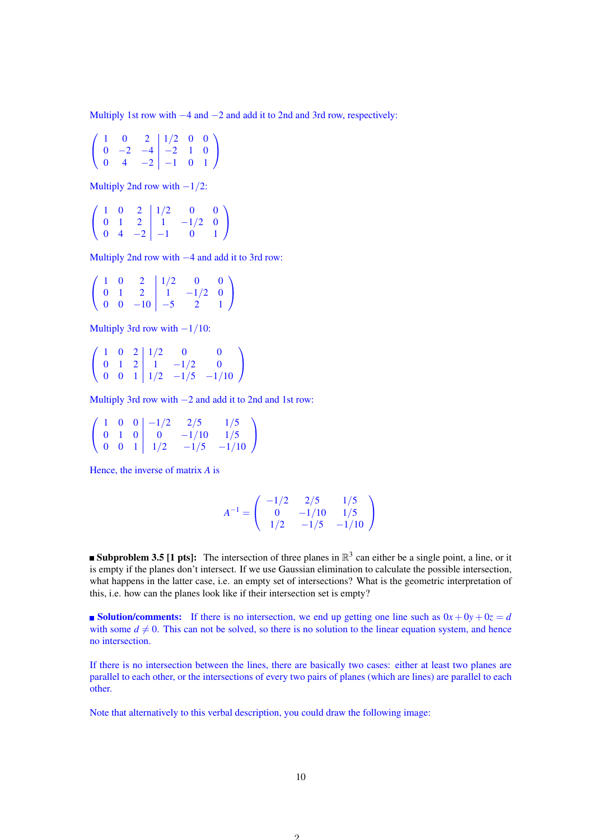Multiply 1st row with −4 and −2 and add it to 2nd and 3rd row, respectively:

$$
\left(\begin{array}{rrrrr} 1 & 0 & 2 & 1/2 & 0 & 0 \\ 0 & -2 & -4 & -2 & 1 & 0 \\ 0 & 4 & -2 & -1 & 0 & 1 \end{array}\right)
$$

Multiply 2nd row with  $-1/2$ :

 $\sqrt{ }$  $\mathbf{I}$  $1 \t0 \t2 \t1/2 \t0 \t0$  $0 \quad 1 \quad 2 \quad | \quad 1 \quad -1/2 \quad 0$  $0 \quad 4 \quad -2 \quad -1 \quad 0 \quad 1$ <sup>1</sup>  $\overline{1}$ 

Multiply 2nd row with −4 and add it to 3rd row:

$$
\left(\begin{array}{rrrrr} 1 & 0 & 2 & 1/2 & 0 & 0 \\ 0 & 1 & 2 & 1 & -1/2 & 0 \\ 0 & 0 & -10 & -5 & 2 & 1 \end{array}\right)
$$

Multiply 3rd row with −1/10:

 $\sqrt{ }$  $\mathbf{I}$  $1 \t0 \t2 \t1/2 \t0 \t0$  $0 \quad 1 \quad 2 \quad 1 \quad -1/2 \quad 0$ 0 0 1 |  $1/2$  -1/5 -1/10 <sup>1</sup>  $\overline{ }$ 

Multiply 3rd row with −2 and add it to 2nd and 1st row:

$$
\left(\begin{array}{ccc|ccc|ccc} 1 & 0 & 0 & -1/2 & 2/5 & 1/5 \\ 0 & 1 & 0 & 0 & -1/10 & 1/5 \\ 0 & 0 & 1 & 1/2 & -1/5 & -1/10 \end{array}\right)
$$

Hence, the inverse of matrix *A* is

$$
A^{-1} = \left(\begin{array}{ccc} -1/2 & 2/5 & 1/5\\ 0 & -1/10 & 1/5\\ 1/2 & -1/5 & -1/10 \end{array}\right)
$$

**Subproblem 3.5 [1 pts]:** The intersection of three planes in  $\mathbb{R}^3$  can either be a single point, a line, or it is empty if the planes don't intersect. If we use Gaussian elimination to calculate the possible intersection, what happens in the latter case, i.e. an empty set of intersections? What is the geometric interpretation of this, i.e. how can the planes look like if their intersection set is empty?

**solution/comments:** If there is no intersection, we end up getting one line such as  $0x + 0y + 0z = d$ with some  $d \neq 0$ . This can not be solved, so there is no solution to the linear equation system, and hence no intersection.

If there is no intersection between the lines, there are basically two cases: either at least two planes are parallel to each other, or the intersections of every two pairs of planes (which are lines) are parallel to each other.

Note that alternatively to this verbal description, you could draw the following image: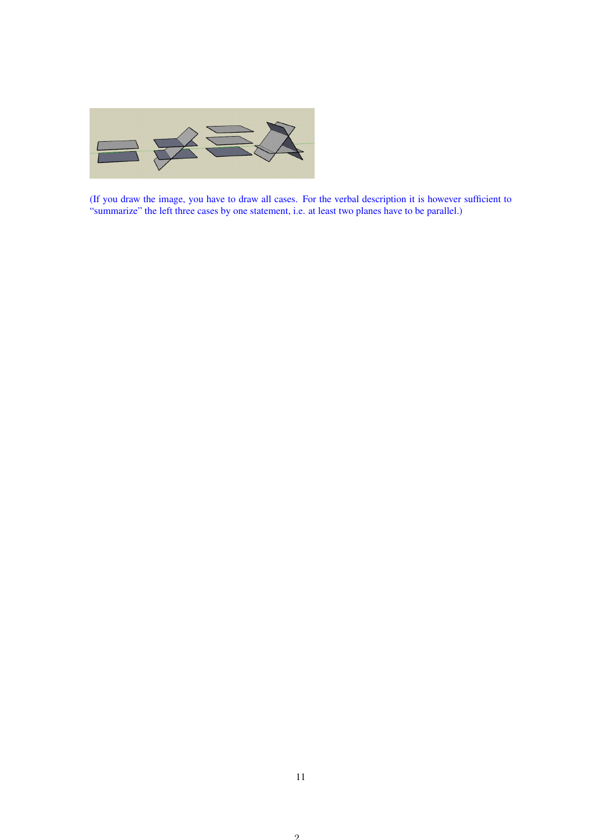

(If you draw the image, you have to draw all cases. For the verbal description it is however sufficient to "summarize" the left three cases by one statement, i.e. at least two planes have to be parallel.)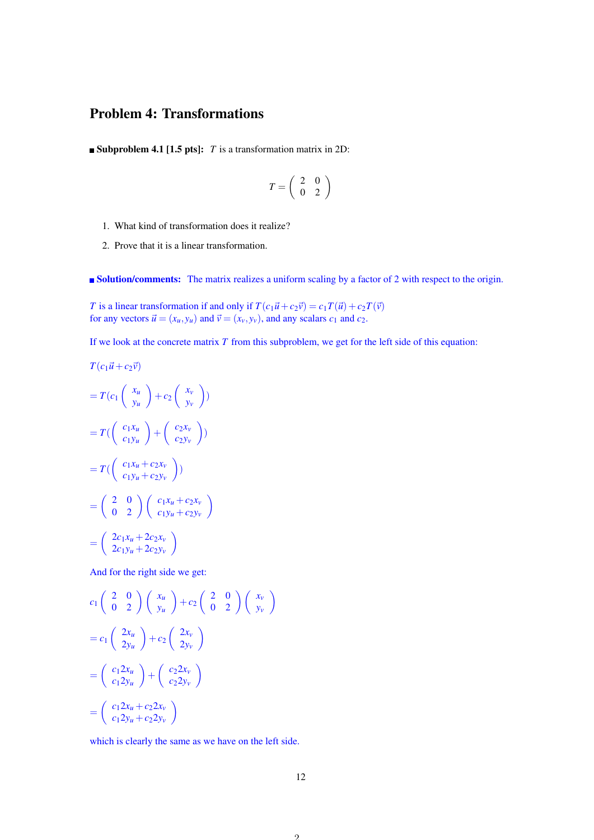## Problem 4: Transformations

**Subproblem 4.1 [1.5 pts]:** *T* is a transformation matrix in 2D:

$$
T=\left(\begin{array}{cc} 2 & 0 \\ 0 & 2 \end{array}\right)
$$

- 1. What kind of transformation does it realize?
- 2. Prove that it is a linear transformation.

**Solution/comments:** The matrix realizes a uniform scaling by a factor of 2 with respect to the origin.

*T* is a linear transformation if and only if  $T(c_1\vec{u} + c_2\vec{v}) = c_1T(\vec{u}) + c_2T(\vec{v})$ for any vectors  $\vec{u} = (x_u, y_u)$  and  $\vec{v} = (x_v, y_v)$ , and any scalars  $c_1$  and  $c_2$ .

If we look at the concrete matrix *T* from this subproblem, we get for the left side of this equation:

$$
= T(c_1 \begin{pmatrix} x_u \\ y_u \end{pmatrix} + c_2 \begin{pmatrix} x_v \\ y_v \end{pmatrix})
$$

$$
= T(\begin{pmatrix} c_1x_u \\ c_1y_u \end{pmatrix} + \begin{pmatrix} c_2x_v \\ c_2y_v \end{pmatrix})
$$

$$
= T(\begin{pmatrix} c_1x_u + c_2x_v \\ c_1y_u + c_2y_v \end{pmatrix})
$$

$$
= \begin{pmatrix} 2 & 0 \\ 0 & 2 \end{pmatrix} \begin{pmatrix} c_1x_u + c_2x_v \\ c_1y_u + c_2y_v \end{pmatrix}
$$

$$
= \begin{pmatrix} 2c_1x_u + 2c_2x_v \\ 2c_1y_u + 2c_2y_v \end{pmatrix}
$$

 $T(c_1\vec{u}+c_2\vec{v})$ 

And for the right side we get:

$$
c_1\begin{pmatrix} 2 & 0 \ 0 & 2 \end{pmatrix}\begin{pmatrix} x_u \\ y_u \end{pmatrix} + c_2\begin{pmatrix} 2 & 0 \ 0 & 2 \end{pmatrix}\begin{pmatrix} x_v \\ y_v \end{pmatrix}
$$
  
=  $c_1\begin{pmatrix} 2x_u \\ 2y_u \end{pmatrix} + c_2\begin{pmatrix} 2x_v \\ 2y_v \end{pmatrix}$   
=  $\begin{pmatrix} c_1 2x_u \\ c_1 2y_u \end{pmatrix} + \begin{pmatrix} c_2 2x_v \\ c_2 2y_v \end{pmatrix}$   
=  $\begin{pmatrix} c_1 2x_u + c_2 2x_v \\ c_1 2y_u + c_2 2y_v \end{pmatrix}$ 

which is clearly the same as we have on the left side.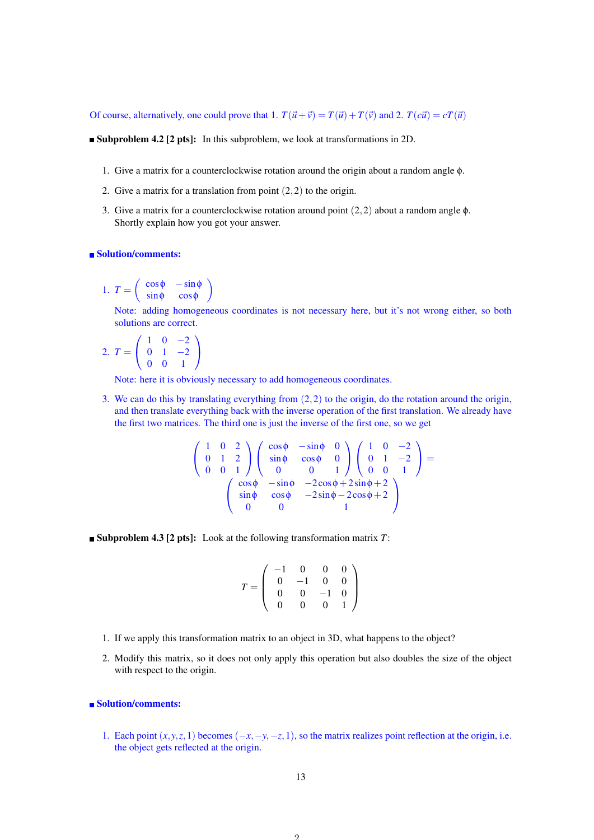Of course, alternatively, one could prove that 1.  $T(\vec{u} + \vec{v}) = T(\vec{u}) + T(\vec{v})$  and 2.  $T(c\vec{u}) = cT(\vec{u})$ 

**Subproblem 4.2 [2 pts]:** In this subproblem, we look at transformations in 2D.

- 1. Give a matrix for a counterclockwise rotation around the origin about a random angle φ.
- 2. Give a matrix for a translation from point  $(2,2)$  to the origin.
- 3. Give a matrix for a counterclockwise rotation around point  $(2,2)$  about a random angle  $\phi$ . Shortly explain how you got your answer.

#### ■ Solution/comments:

1. 
$$
T = \begin{pmatrix} \cos \phi & -\sin \phi \\ \sin \phi & \cos \phi \end{pmatrix}
$$

Note: adding homogeneous coordinates is not necessary here, but it's not wrong either, so both solutions are correct.

2. 
$$
T = \begin{pmatrix} 1 & 0 & -2 \\ 0 & 1 & -2 \\ 0 & 0 & 1 \end{pmatrix}
$$

Note: here it is obviously necessary to add homogeneous coordinates.

3. We can do this by translating everything from  $(2,2)$  to the origin, do the rotation around the origin, and then translate everything back with the inverse operation of the first translation. We already have the first two matrices. The third one is just the inverse of the first one, so we get

$$
\begin{pmatrix} 1 & 0 & 2 \ 0 & 1 & 2 \ 0 & 0 & 1 \end{pmatrix} \begin{pmatrix} \cos \phi & -\sin \phi & 0 \\ \sin \phi & \cos \phi & 0 \\ 0 & 0 & 1 \end{pmatrix} \begin{pmatrix} 1 & 0 & -2 \\ 0 & 1 & -2 \\ 0 & 0 & 1 \end{pmatrix} = \begin{pmatrix} \cos \phi & -\sin \phi & -2\cos \phi + 2\sin \phi + 2 \\ \sin \phi & \cos \phi & -2\sin \phi - 2\cos \phi + 2 \\ 0 & 0 & 1 \end{pmatrix}
$$

■ Subproblem 4.3 [2 pts]: Look at the following transformation matrix *T*:

$$
T = \left(\begin{array}{cccc} -1 & 0 & 0 & 0 \\ 0 & -1 & 0 & 0 \\ 0 & 0 & -1 & 0 \\ 0 & 0 & 0 & 1 \end{array}\right)
$$

- 1. If we apply this transformation matrix to an object in 3D, what happens to the object?
- 2. Modify this matrix, so it does not only apply this operation but also doubles the size of the object with respect to the origin.

#### ■ Solution/comments:

1. Each point  $(x, y, z, 1)$  becomes  $(-x, -y, -z, 1)$ , so the matrix realizes point reflection at the origin, i.e. the object gets reflected at the origin.